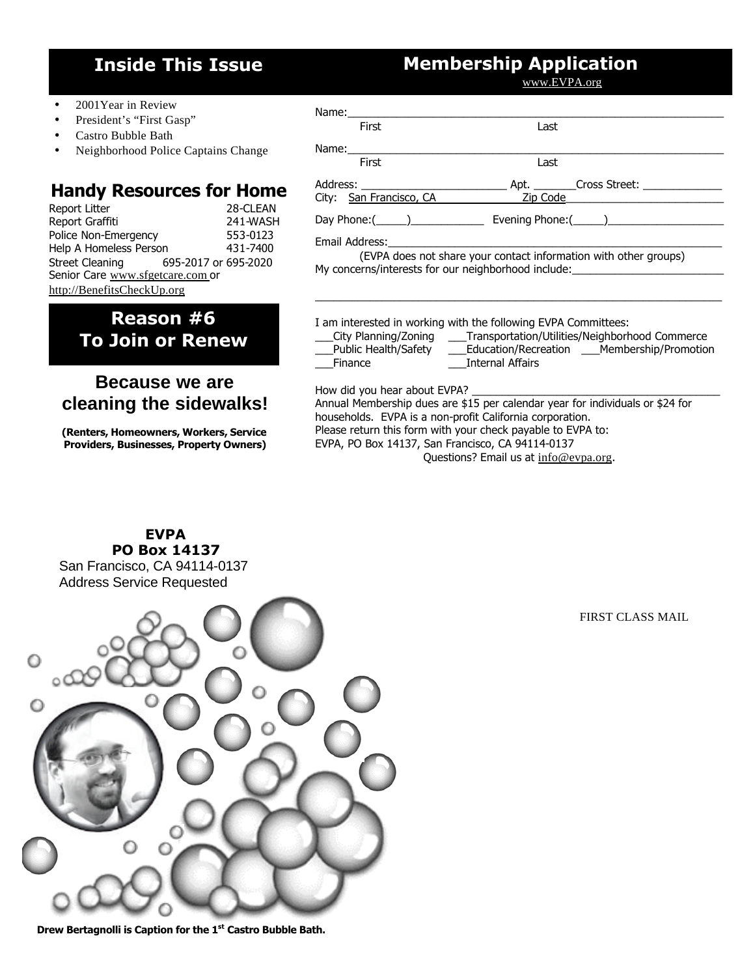## **Inside This Issue**

# **Membership Application**

**Or join online at** [www.EVPA.org](http://www.evpa.org)

- 2001 Year in Review
- President's "First Gasp"
- Castro Bubble Bath
- Neighborhood Police Captains Change

#### **Handy Resources for Home**

| Report Litter                    |                      | 28-CLEAN |  |  |
|----------------------------------|----------------------|----------|--|--|
| Report Graffiti                  |                      | 241-WASH |  |  |
| Police Non-Emergency             |                      | 553-0123 |  |  |
| Help A Homeless Person           |                      | 431-7400 |  |  |
| <b>Street Cleaning</b>           | 695-2017 or 695-2020 |          |  |  |
| Senior Care www.sfgetcare.com or |                      |          |  |  |
| http://BenefitsCheckUp.org       |                      |          |  |  |

## **Reason #6 To Join or Renew**

## **Because we are cleaning the sidewalks!**

**(Renters, Homeowners, Workers, Service Providers, Businesses, Property Owners)**

| Name:________                                                                                                                                            |      |  |  |
|----------------------------------------------------------------------------------------------------------------------------------------------------------|------|--|--|
| First                                                                                                                                                    | Last |  |  |
|                                                                                                                                                          |      |  |  |
| First                                                                                                                                                    | Last |  |  |
| City: San Francisco, CA Zip Code                                                                                                                         |      |  |  |
|                                                                                                                                                          |      |  |  |
| Email Address: Email Address:<br>(EVPA does not share your contact information with other groups)<br>My concerns/interests for our neighborhood include: |      |  |  |

I am interested in working with the following EVPA Committees:

| City Planning/Zoning        |                      | Transportation/Utilities/Neighborhood Commerce |
|-----------------------------|----------------------|------------------------------------------------|
| <b>Public Health/Safety</b> | Education/Recreation | Membership/Promotion                           |
| Finance                     | Internal Affairs     |                                                |

 $\mathcal{L}_\mathcal{L}$  , and the set of the set of the set of the set of the set of the set of the set of the set of the set of the set of the set of the set of the set of the set of the set of the set of the set of the set of th

How did you hear about EVPA?

Annual Membership dues are \$15 per calendar year for individuals or \$24 for households. EVPA is a non-profit California corporation. Please return this form with your check payable to EVPA to: EVPA, PO Box 14137, San Francisco, CA 94114-0137

Questions? Email us at [info@evpa.org](mailto:info@evpa.org).



**Drew Bertagnolli is Caption for the 1st Castro Bubble Bath.**

FIRST CLASS MAIL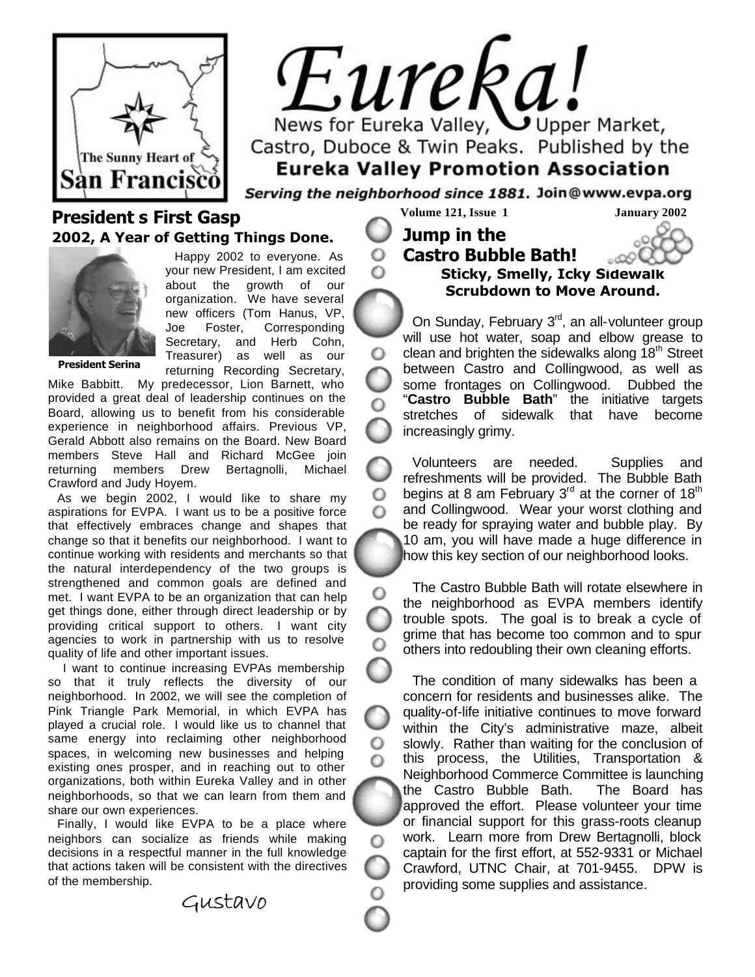

*Eureka!* News for Eureka Valley, Upper Market, Castro, Duboce & Twin Peaks. Published by the **Eureka Valley Promotion Association** 

Serving the neighborhood since 1881. Join@www.evpa.org

## **President s First Gasp Volume 121, Issue 1 January 2002 2002, A Year of Getting Things Done.**



Happy 2002 to everyone. As your new President, I am excited about the growth of our organization. We have several new officers (Tom Hanus, VP, Joe Foster, Corresponding Secretary, and Herb Cohn, Treasurer) as well as our **President Serina President Serina President Sering** Recording Secretary,

Mike Babbitt. My predecessor, Lion Barnett, who provided a great deal of leadership continues on the Board, allowing us to benefit from his considerable experience in neighborhood affairs. Previous VP, Gerald Abbott also remains on the Board. New Board members Steve Hall and Richard McGee join returning members Drew Bertagnolli, Michael Crawford and Judy Hoyem.

As we begin 2002, I would like to share my aspirations for EVPA. I want us to be a positive force that effectively embraces change and shapes that change so that it benefits our neighborhood. I want to continue working with residents and merchants so that the natural interdependency of the two groups is strengthened and common goals are defined and met. I want EVPA to be an organization that can help get things done, either through direct leadership or by providing critical support to others. I want city agencies to work in partnership with us to resolve quality of life and other important issues.

 I want to continue increasing EVPAs membership so that it truly reflects the diversity of our neighborhood. In 2002, we will see the completion of Pink Triangle Park Memorial, in which EVPA has played a crucial role. I would like us to channel that same energy into reclaiming other neighborhood spaces, in welcoming new businesses and helping existing ones prosper, and in reaching out to other organizations, both within Eureka Valley and in other neighborhoods, so that we can learn from them and share our own experiences.

Finally, I would like EVPA to be a place where neighbors can socialize as friends while making decisions in a respectful manner in the full knowledge that actions taken will be consistent with the directives of the membership.



O O

O

 $\circ$ 

 $\circ$ 

 $\circ$ ⊙

Ō

#### **Jump in the Castro Bubble Bath! Sticky, Smelly, Icky Sidewalk Scrubdown to Move Around.**

On Sunday, February 3<sup>rd</sup>, an all-volunteer group will use hot water, soap and elbow grease to clean and brighten the sidewalks along  $18<sup>th</sup>$  Street between Castro and Collingwood, as well as some frontages on Collingwood. Dubbed the "**Castro Bubble Bath**" the initiative targets stretches of sidewalk that have become increasingly grimy.

Volunteers are needed. Supplies and refreshments will be provided. The Bubble Bath begins at 8 am February  $3<sup>rd</sup>$  at the corner of 18<sup>th</sup> and Collingwood. Wear your worst clothing and be ready for spraying water and bubble play. By 10 am, you will have made a huge difference in how this key section of our neighborhood looks.

The Castro Bubble Bath will rotate elsewhere in the neighborhood as EVPA members identify trouble spots. The goal is to break a cycle of grime that has become too common and to spur others into redoubling their own cleaning efforts.

The condition of many sidewalks has been a concern for residents and businesses alike. The quality-of-life initiative continues to move forward within the City's administrative maze, albeit slowly. Rather than waiting for the conclusion of this process, the Utilities, Transportation & Neighborhood Commerce Committee is launching the Castro Bubble Bath. The Board has approved the effort. Please volunteer your time or financial support for this grass-roots cleanup work. Learn more from Drew Bertagnolli, block captain for the first effort, at 552-9331 or Michael Crawford, UTNC Chair, at 701-9455. DPW is providing some supplies and assistance.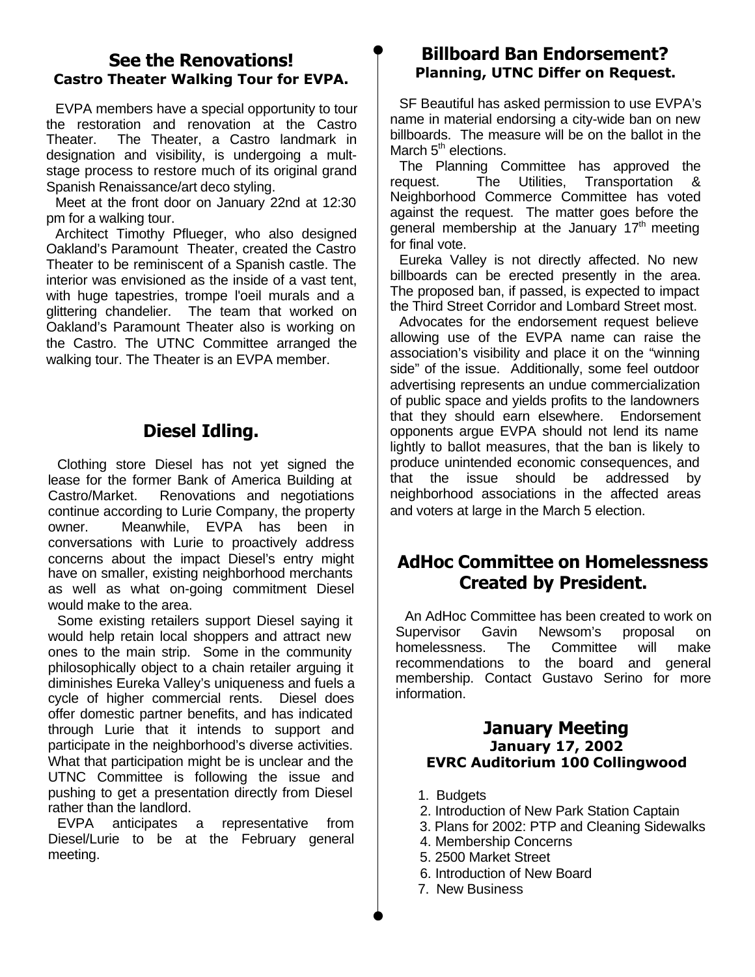#### **See the Renovations! Castro Theater Walking Tour for EVPA.**

EVPA members have a special opportunity to tour the restoration and renovation at the Castro Theater. The Theater, a Castro landmark in designation and visibility, is undergoing a multstage process to restore much of its original grand Spanish Renaissance/art deco styling.

Meet at the front door on January 22nd at 12:30 pm for a walking tour.

Architect Timothy Pflueger, who also designed Oakland's Paramount Theater, created the Castro Theater to be reminiscent of a Spanish castle. The interior was envisioned as the inside of a vast tent, with huge tapestries, trompe l'oeil murals and a glittering chandelier. The team that worked on Oakland's Paramount Theater also is working on the Castro. The UTNC Committee arranged the walking tour. The Theater is an EVPA member.

## **Diesel Idling.**

Clothing store Diesel has not yet signed the lease for the former Bank of America Building at Castro/Market. Renovations and negotiations continue according to Lurie Company, the property owner. Meanwhile, EVPA has been in conversations with Lurie to proactively address concerns about the impact Diesel's entry might have on smaller, existing neighborhood merchants as well as what on-going commitment Diesel would make to the area.

Some existing retailers support Diesel saying it would help retain local shoppers and attract new ones to the main strip. Some in the community philosophically object to a chain retailer arguing it diminishes Eureka Valley's uniqueness and fuels a cycle of higher commercial rents. Diesel does offer domestic partner benefits, and has indicated through Lurie that it intends to support and participate in the neighborhood's diverse activities. What that participation might be is unclear and the UTNC Committee is following the issue and pushing to get a presentation directly from Diesel rather than the landlord.

EVPA anticipates a representative from Diesel/Lurie to be at the February general meeting.

#### **Billboard Ban Endorsement? Planning, UTNC Differ on Request.**

SF Beautiful has asked permission to use EVPA's name in material endorsing a city-wide ban on new billboards. The measure will be on the ballot in the March  $5<sup>th</sup>$  elections.

The Planning Committee has approved the request. The Utilities, Transportation & Neighborhood Commerce Committee has voted against the request. The matter goes before the general membership at the January  $17<sup>th</sup>$  meeting for final vote.

Eureka Valley is not directly affected. No new billboards can be erected presently in the area. The proposed ban, if passed, is expected to impact the Third Street Corridor and Lombard Street most.

Advocates for the endorsement request believe allowing use of the EVPA name can raise the association's visibility and place it on the "winning side" of the issue. Additionally, some feel outdoor advertising represents an undue commercialization of public space and yields profits to the landowners that they should earn elsewhere. Endorsement opponents argue EVPA should not lend its name lightly to ballot measures, that the ban is likely to produce unintended economic consequences, and that the issue should be addressed by neighborhood associations in the affected areas and voters at large in the March 5 election.

## **AdHoc Committee on Homelessness Created by President.**

An AdHoc Committee has been created to work on Supervisor Gavin Newsom's proposal on homelessness. The Committee will make recommendations to the board and general membership. Contact Gustavo Serino for more information.

#### **January Meeting January 17, 2002 EVRC Auditorium 100 Collingwood**

- 1. Budgets
- 2. Introduction of New Park Station Captain
- 3. Plans for 2002: PTP and Cleaning Sidewalks
- 4. Membership Concerns
- 5. 2500 Market Street
- 6. Introduction of New Board
- 7. New Business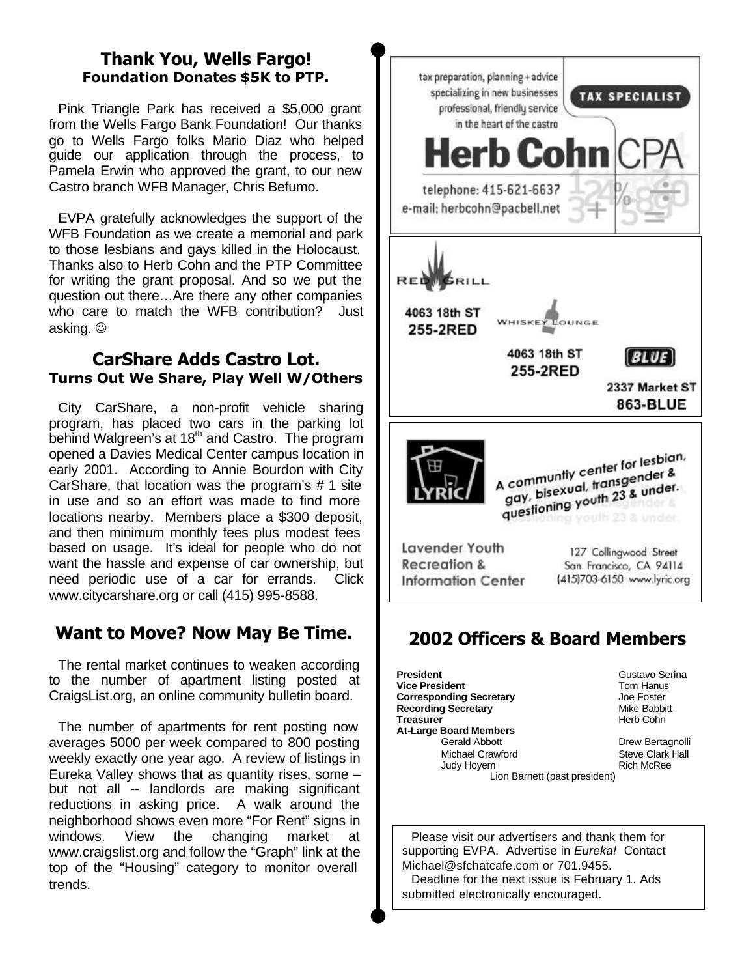#### **Thank You, Wells Fargo! Foundation Donates \$5K to PTP.**

Pink Triangle Park has received a \$5,000 grant from the Wells Fargo Bank Foundation! Our thanks go to Wells Fargo folks Mario Diaz who helped guide our application through the process, to Pamela Erwin who approved the grant, to our new Castro branch WFB Manager, Chris Befumo.

EVPA gratefully acknowledges the support of the WFB Foundation as we create a memorial and park to those lesbians and gays killed in the Holocaust. Thanks also to Herb Cohn and the PTP Committee for writing the grant proposal. And so we put the question out there…Are there any other companies who care to match the WFB contribution? Just asking.  $\circledcirc$ 

#### **CarShare Adds Castro Lot. Turns Out We Share, Play Well W/Others**

City CarShare, a non-profit vehicle sharing program, has placed two cars in the parking lot behind Walgreen's at 18<sup>th</sup> and Castro. The program opened a Davies Medical Center campus location in early 2001. According to Annie Bourdon with City CarShare, that location was the program's # 1 site in use and so an effort was made to find more locations nearby. Members place a \$300 deposit, and then minimum monthly fees plus modest fees based on usage. It's ideal for people who do not want the hassle and expense of car ownership, but need periodic use of a car for errands. Click [www.citycarshare.org](http://www.citycarshare.org) or call (415) 995-8588.

## **Want to Move? Now May Be Time.**

The rental market continues to weaken according to the number of apartment listing posted at [CraigsList.org,](http://www.craigslist.org) an online community bulletin board.

The number of apartments for rent posting now averages 5000 per week compared to 800 posting weekly exactly one year ago. A review of listings in Eureka Valley shows that as quantity rises, some – but not all -- landlords are making significant reductions in asking price. A walk around the neighborhood shows even more "For Rent" signs in windows. View the changing market at [www.craigslist.org](http://www.craigslist.org) and follow the "Graph" link at the top of the "Housing" category to monitor overall trends.



Deadline for the next issue is February 1. Ads submitted electronically encouraged.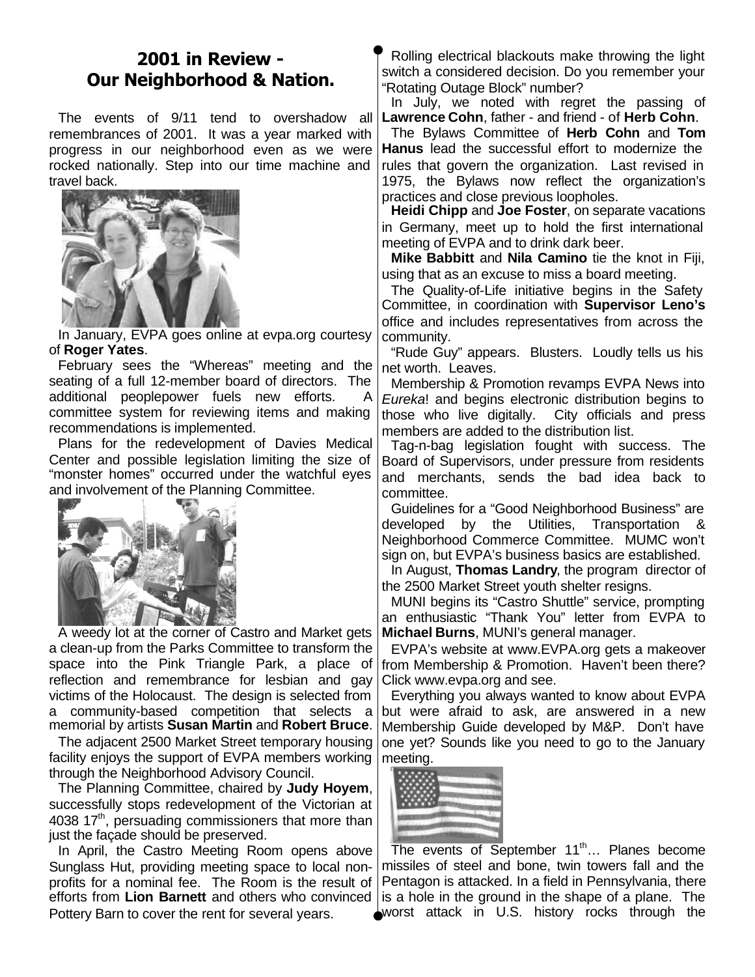### **2001 in Review - Our Neighborhood & Nation.**

The events of 9/11 tend to overshadow all remembrances of 2001. It was a year marked with progress in our neighborhood even as we were rocked nationally. Step into our time machine and travel back.



In January, EVPA goes online at evpa.org courtesy of **Roger Yates**.

February sees the "Whereas" meeting and the seating of a full 12-member board of directors. The additional peoplepower fuels new efforts. committee system for reviewing items and making recommendations is implemented.

Plans for the redevelopment of Davies Medical Center and possible legislation limiting the size of "monster homes" occurred under the watchful eyes and involvement of the Planning Committee.



A weedy lot at the corner of Castro and Market gets a clean-up from the Parks Committee to transform the space into the Pink Triangle Park, a place of reflection and remembrance for lesbian and gay victims of the Holocaust. The design is selected from a community-based competition that selects a memorial by artists **Susan Martin** and **Robert Bruce**.

The adjacent 2500 Market Street temporary housing facility enjoys the support of EVPA members working through the Neighborhood Advisory Council.

The Planning Committee, chaired by **Judy Hoyem**, successfully stops redevelopment of the Victorian at 4038 17<sup>th</sup>, persuading commissioners that more than just the façade should be preserved.

In April, the Castro Meeting Room opens above Sunglass Hut, providing meeting space to local nonprofits for a nominal fee. The Room is the result of efforts from **Lion Barnett** and others who convinced Pottery Barn to cover the rent for several years.

Rolling electrical blackouts make throwing the light switch a considered decision. Do you remember your "Rotating Outage Block" number?

In July, we noted with regret the passing of **Lawrence Cohn**, father - and friend - of **Herb Cohn**.

The Bylaws Committee of **Herb Cohn** and **Tom Hanus** lead the successful effort to modernize the rules that govern the organization. Last revised in 1975, the Bylaws now reflect the organization's practices and close previous loopholes.

**Heidi Chipp** and **Joe Foster**, on separate vacations in Germany, meet up to hold the first international meeting of EVPA and to drink dark beer.

**Mike Babbitt** and **Nila Camino** tie the knot in Fiji, using that as an excuse to miss a board meeting.

The Quality-of-Life initiative begins in the Safety Committee, in coordination with **Supervisor Leno's** office and includes representatives from across the community.

"Rude Guy" appears. Blusters. Loudly tells us his net worth. Leaves.

Membership & Promotion revamps EVPA News into *Eureka*! and begins electronic distribution begins to those who live digitally. City officials and press members are added to the distribution list.

Tag-n-bag legislation fought with success. The Board of Supervisors, under pressure from residents and merchants, sends the bad idea back to committee.

Guidelines for a "Good Neighborhood Business" are developed by the Utilities, Transportation & Neighborhood Commerce Committee. MUMC won't sign on, but EVPA's business basics are established.

In August, **Thomas Landry**, the program director of the 2500 Market Street youth shelter resigns.

MUNI begins its "Castro Shuttle" service, prompting an enthusiastic "Thank You" letter from EVPA to **Michael Burns**, MUNI's general manager.

EVPA's website at www.EVPA.org gets a makeover from Membership & Promotion. Haven't been there? Click www.evpa.org and see.

Everything you always wanted to know about EVPA but were afraid to ask, are answered in a new Membership Guide developed by M&P. Don't have one yet? Sounds like you need to go to the January meeting.



The events of September 11<sup>th</sup>... Planes become missiles of steel and bone, twin towers fall and the Pentagon is attacked. In a field in Pennsylvania, there is a hole in the ground in the shape of a plane. The worst attack in U.S. history rocks through the